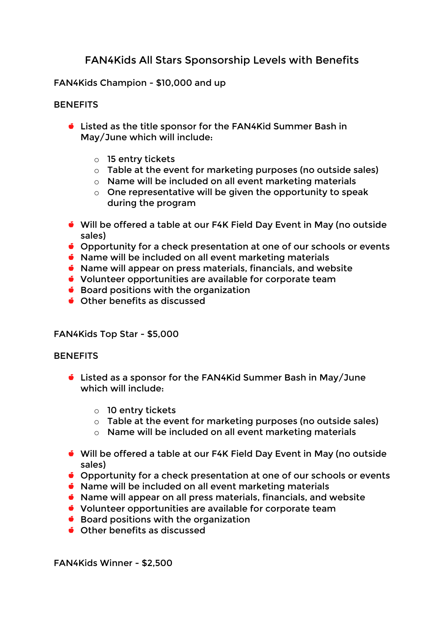# **FAN4Kids All Stars Sponsorship Levels with Benefits**

# FAN4Kids Champion - \$10,000 and up

# **BENEFITS**

- Listed as the title sponsor for the FAN4Kid Summer Bash in May/June which will include:
	- o 15 entry tickets
	- o Table at the event for marketing purposes (no outside sales)
	- o Name will be included on all event marketing materials
	- $\circ$  One representative will be given the opportunity to speak during the program
- Will be offered a table at our F4K Field Day Event in May (no outside sales)
- **Opportunity for a check presentation at one of our schools or events**
- Name will be included on all event marketing materials
- $\bullet$  Name will appear on press materials, financials, and website
- Volunteer opportunities are available for corporate team
- $\bullet$  Board positions with the organization
- Other benefits as discussed

## FAN4Kids Top Star - \$5,000

## **BENEFITS**

- Listed as a sponsor for the FAN4Kid Summer Bash in May/June which will include:
	- o 10 entry tickets
	- $\circ$  Table at the event for marketing purposes (no outside sales)
	- o Name will be included on all event marketing materials
- Will be offered a table at our F4K Field Day Event in May (no outside sales)
- **Opportunity for a check presentation at one of our schools or events**
- Name will be included on all event marketing materials
- Name will appear on all press materials, financials, and website
- Volunteer opportunities are available for corporate team
- $\bullet$  Board positions with the organization
- Other benefits as discussed

FAN4Kids Winner - \$2,500